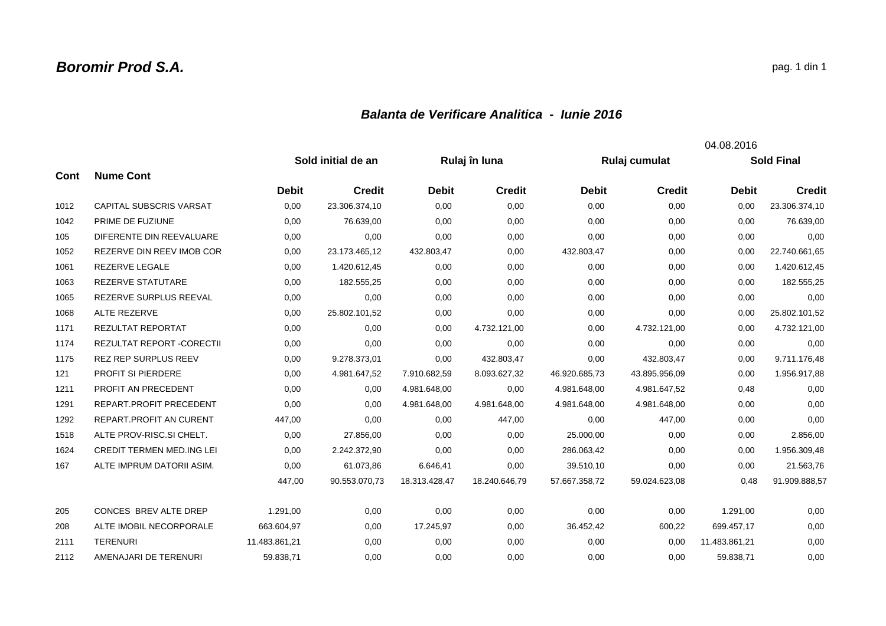## *Balanta de Verificare Analitica - Iunie 2016*

|      |                                  |               |                    |               |               |               |               | 04.08.2016    |                   |
|------|----------------------------------|---------------|--------------------|---------------|---------------|---------------|---------------|---------------|-------------------|
|      |                                  |               | Sold initial de an |               | Rulaj în luna |               | Rulaj cumulat |               | <b>Sold Final</b> |
| Cont | <b>Nume Cont</b>                 |               |                    |               |               |               |               |               |                   |
|      |                                  | <b>Debit</b>  | <b>Credit</b>      | <b>Debit</b>  | <b>Credit</b> | <b>Debit</b>  | <b>Credit</b> | <b>Debit</b>  | <b>Credit</b>     |
| 1012 | <b>CAPITAL SUBSCRIS VARSAT</b>   | 0,00          | 23.306.374,10      | 0,00          | 0,00          | 0,00          | 0,00          | 0,00          | 23.306.374,10     |
| 1042 | PRIME DE FUZIUNE                 | 0,00          | 76.639,00          | 0,00          | 0,00          | 0,00          | 0,00          | 0,00          | 76.639,00         |
| 105  | DIFERENTE DIN REEVALUARE         | 0,00          | 0,00               | 0,00          | 0,00          | 0,00          | 0,00          | 0,00          | 0,00              |
| 1052 | REZERVE DIN REEV IMOB COR        | 0,00          | 23.173.465,12      | 432.803,47    | 0,00          | 432.803,47    | 0,00          | 0,00          | 22.740.661,65     |
| 1061 | <b>REZERVE LEGALE</b>            | 0,00          | 1.420.612,45       | 0,00          | 0,00          | 0,00          | 0,00          | 0,00          | 1.420.612,45      |
| 1063 | REZERVE STATUTARE                | 0,00          | 182.555,25         | 0,00          | 0,00          | 0,00          | 0,00          | 0,00          | 182.555,25        |
| 1065 | REZERVE SURPLUS REEVAL           | 0,00          | 0,00               | 0,00          | 0,00          | 0,00          | 0,00          | 0,00          | 0,00              |
| 1068 | ALTE REZERVE                     | 0,00          | 25.802.101,52      | 0,00          | 0,00          | 0,00          | 0,00          | 0,00          | 25.802.101,52     |
| 1171 | REZULTAT REPORTAT                | 0,00          | 0,00               | 0,00          | 4.732.121,00  | 0,00          | 4.732.121,00  | 0,00          | 4.732.121,00      |
| 1174 | REZULTAT REPORT - CORECTII       | 0,00          | 0,00               | 0,00          | 0,00          | 0,00          | 0,00          | 0,00          | 0,00              |
| 1175 | <b>REZ REP SURPLUS REEV</b>      | 0,00          | 9.278.373,01       | 0,00          | 432.803,47    | 0,00          | 432.803,47    | 0,00          | 9.711.176,48      |
| 121  | PROFIT SI PIERDERE               | 0.00          | 4.981.647,52       | 7.910.682,59  | 8.093.627,32  | 46.920.685,73 | 43.895.956,09 | 0.00          | 1.956.917,88      |
| 1211 | PROFIT AN PRECEDENT              | 0,00          | 0,00               | 4.981.648,00  | 0,00          | 4.981.648,00  | 4.981.647,52  | 0,48          | 0,00              |
| 1291 | REPART.PROFIT PRECEDENT          | 0,00          | 0,00               | 4.981.648,00  | 4.981.648,00  | 4.981.648.00  | 4.981.648,00  | 0.00          | 0,00              |
| 1292 | <b>REPART.PROFIT AN CURENT</b>   | 447,00        | 0.00               | 0.00          | 447,00        | 0,00          | 447,00        | 0,00          | 0,00              |
| 1518 | ALTE PROV-RISC.SI CHELT.         | 0,00          | 27.856,00          | 0,00          | 0,00          | 25.000,00     | 0,00          | 0,00          | 2.856,00          |
| 1624 | <b>CREDIT TERMEN MED.ING LEI</b> | 0,00          | 2.242.372,90       | 0,00          | 0,00          | 286.063,42    | 0,00          | 0,00          | 1.956.309,48      |
| 167  | ALTE IMPRUM DATORII ASIM.        | 0,00          | 61.073,86          | 6.646,41      | 0,00          | 39.510,10     | 0,00          | 0,00          | 21.563,76         |
|      |                                  | 447,00        | 90.553.070,73      | 18.313.428,47 | 18.240.646,79 | 57.667.358,72 | 59.024.623,08 | 0,48          | 91.909.888,57     |
| 205  | CONCES BREV ALTE DREP            | 1.291,00      | 0,00               | 0,00          | 0,00          | 0,00          | 0,00          | 1.291,00      | 0,00              |
| 208  | ALTE IMOBIL NECORPORALE          | 663.604,97    | 0,00               | 17.245,97     | 0,00          | 36.452,42     | 600,22        | 699.457,17    | 0,00              |
| 2111 | <b>TERENURI</b>                  | 11.483.861,21 | 0,00               | 0,00          | 0,00          | 0,00          | 0,00          | 11.483.861,21 | 0,00              |
| 2112 | AMENAJARI DE TERENURI            | 59.838,71     | 0,00               | 0,00          | 0,00          | 0,00          | 0,00          | 59.838,71     | 0,00              |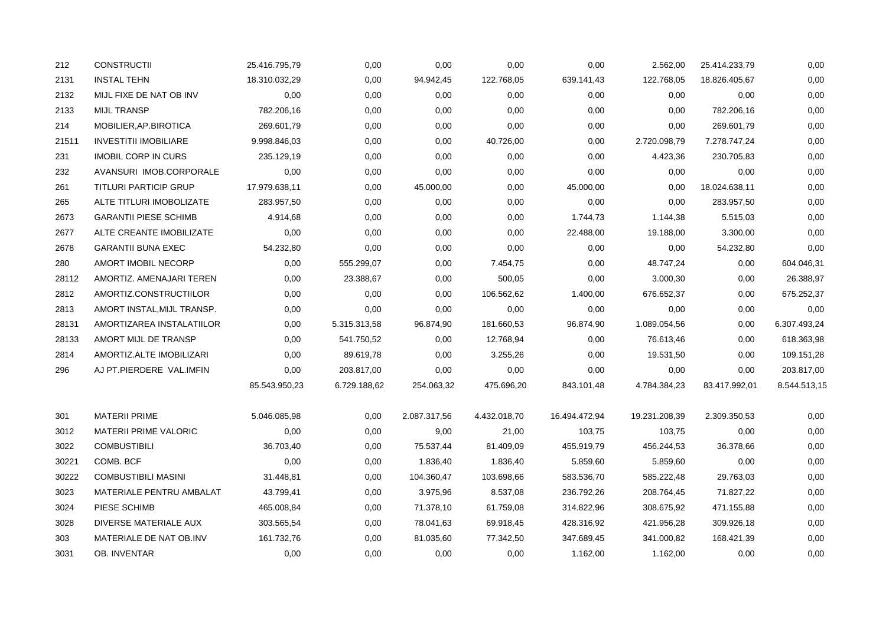| 212   | <b>CONSTRUCTII</b>           | 25.416.795,79 | 0,00         | 0,00         | 0,00         | 0,00          | 2.562,00      | 25.414.233,79 | 0,00         |
|-------|------------------------------|---------------|--------------|--------------|--------------|---------------|---------------|---------------|--------------|
| 2131  | <b>INSTAL TEHN</b>           | 18.310.032,29 | 0,00         | 94.942,45    | 122.768,05   | 639.141,43    | 122.768,05    | 18.826.405,67 | 0,00         |
| 2132  | MIJL FIXE DE NAT OB INV      | 0,00          | 0,00         | 0,00         | 0,00         | 0,00          | 0,00          | 0,00          | 0,00         |
| 2133  | <b>MIJL TRANSP</b>           | 782.206,16    | 0,00         | 0,00         | 0,00         | 0,00          | 0,00          | 782.206,16    | 0,00         |
| 214   | MOBILIER, AP. BIROTICA       | 269.601,79    | 0,00         | 0,00         | 0,00         | 0,00          | 0,00          | 269.601,79    | 0,00         |
| 21511 | <b>INVESTITII IMOBILIARE</b> | 9.998.846,03  | 0,00         | 0,00         | 40.726,00    | 0,00          | 2.720.098,79  | 7.278.747,24  | 0,00         |
| 231   | <b>IMOBIL CORP IN CURS</b>   | 235.129,19    | 0,00         | 0,00         | 0,00         | 0,00          | 4.423,36      | 230.705,83    | 0,00         |
| 232   | AVANSURI IMOB.CORPORALE      | 0,00          | 0,00         | 0,00         | 0,00         | 0,00          | 0,00          | 0,00          | 0,00         |
| 261   | <b>TITLURI PARTICIP GRUP</b> | 17.979.638,11 | 0,00         | 45.000,00    | 0,00         | 45.000,00     | 0,00          | 18.024.638,11 | 0,00         |
| 265   | ALTE TITLURI IMOBOLIZATE     | 283.957,50    | 0,00         | 0,00         | 0,00         | 0,00          | 0,00          | 283.957,50    | 0,00         |
| 2673  | <b>GARANTII PIESE SCHIMB</b> | 4.914,68      | 0,00         | 0,00         | 0,00         | 1.744,73      | 1.144,38      | 5.515,03      | 0,00         |
| 2677  | ALTE CREANTE IMOBILIZATE     | 0,00          | 0,00         | 0,00         | 0,00         | 22.488,00     | 19.188,00     | 3.300,00      | 0,00         |
| 2678  | <b>GARANTII BUNA EXEC</b>    | 54.232,80     | 0,00         | 0,00         | 0,00         | 0,00          | 0,00          | 54.232,80     | 0,00         |
| 280   | AMORT IMOBIL NECORP          | 0,00          | 555.299,07   | 0,00         | 7.454,75     | 0,00          | 48.747,24     | 0,00          | 604.046,31   |
| 28112 | AMORTIZ. AMENAJARI TEREN     | 0,00          | 23.388,67    | 0,00         | 500,05       | 0,00          | 3.000,30      | 0,00          | 26.388,97    |
| 2812  | AMORTIZ.CONSTRUCTIILOR       | 0,00          | 0,00         | 0,00         | 106.562,62   | 1.400,00      | 676.652,37    | 0,00          | 675.252,37   |
| 2813  | AMORT INSTAL, MIJL TRANSP.   | 0,00          | 0,00         | 0,00         | 0,00         | 0,00          | 0,00          | 0,00          | 0,00         |
| 28131 | AMORTIZAREA INSTALATIILOR    | 0,00          | 5.315.313,58 | 96.874,90    | 181.660,53   | 96.874,90     | 1.089.054,56  | 0,00          | 6.307.493,24 |
| 28133 | AMORT MIJL DE TRANSP         | 0,00          | 541.750,52   | 0,00         | 12.768,94    | 0,00          | 76.613,46     | 0,00          | 618.363,98   |
| 2814  | AMORTIZ.ALTE IMOBILIZARI     | 0,00          | 89.619,78    | 0,00         | 3.255,26     | 0,00          | 19.531,50     | 0,00          | 109.151,28   |
| 296   | AJ PT.PIERDERE VAL.IMFIN     | 0,00          | 203.817,00   | 0,00         | 0,00         | 0,00          | 0,00          | 0,00          | 203.817,00   |
|       |                              | 85.543.950,23 | 6.729.188,62 | 254.063,32   | 475.696,20   | 843.101,48    | 4.784.384,23  | 83.417.992,01 | 8.544.513,15 |
| 301   | <b>MATERII PRIME</b>         | 5.046.085,98  | 0,00         | 2.087.317,56 | 4.432.018,70 | 16.494.472,94 | 19.231.208,39 | 2.309.350,53  | 0,00         |
| 3012  | MATERII PRIME VALORIC        | 0,00          | 0,00         | 9,00         | 21,00        | 103,75        | 103,75        | 0,00          | 0,00         |
| 3022  | <b>COMBUSTIBILI</b>          | 36.703,40     | 0,00         | 75.537,44    | 81.409,09    | 455.919,79    | 456.244,53    | 36.378,66     | 0,00         |
| 30221 | COMB. BCF                    | 0,00          | 0,00         | 1.836,40     | 1.836,40     | 5.859,60      | 5.859,60      | 0,00          | 0,00         |
| 30222 | <b>COMBUSTIBILI MASINI</b>   | 31.448,81     | 0,00         | 104.360,47   | 103.698,66   | 583.536,70    | 585.222,48    | 29.763,03     | 0,00         |
| 3023  | MATERIALE PENTRU AMBALAT     | 43.799,41     | 0,00         | 3.975,96     | 8.537,08     | 236.792,26    | 208.764,45    | 71.827,22     | 0,00         |
| 3024  | PIESE SCHIMB                 | 465.008,84    | 0,00         | 71.378,10    | 61.759,08    | 314.822,96    | 308.675,92    | 471.155,88    | 0,00         |
| 3028  | DIVERSE MATERIALE AUX        | 303.565,54    | 0,00         | 78.041,63    | 69.918,45    | 428.316,92    | 421.956,28    | 309.926,18    | 0,00         |
| 303   | MATERIALE DE NAT OB.INV      | 161.732,76    | 0,00         | 81.035,60    | 77.342,50    | 347.689,45    | 341.000,82    | 168.421,39    | 0,00         |
| 3031  | OB. INVENTAR                 | 0,00          | 0,00         | 0,00         | 0,00         | 1.162,00      | 1.162,00      | 0,00          | 0,00         |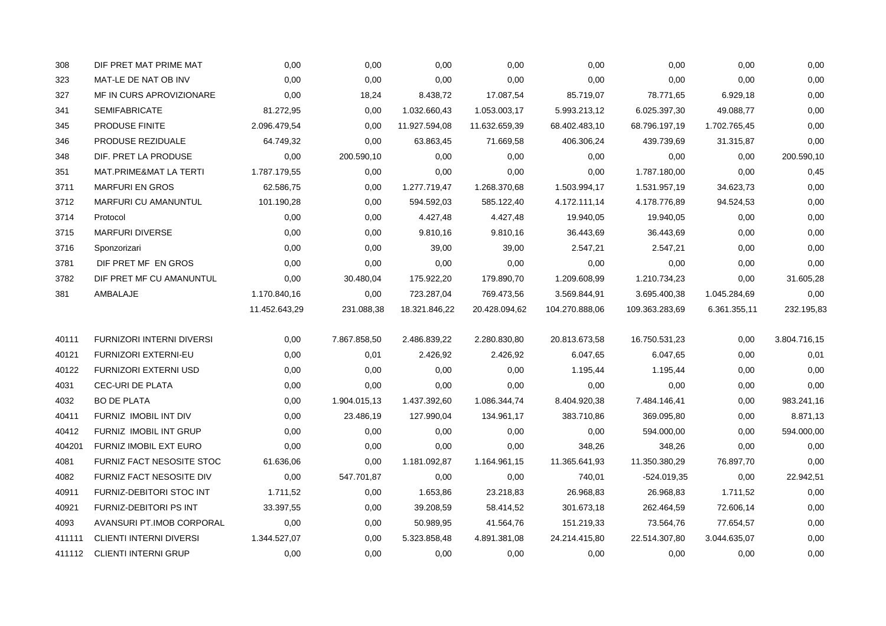| 308    | DIF PRET MAT PRIME MAT         | 0,00          | 0,00         | 0,00          | 0,00          | 0,00           | 0,00           | 0,00         | 0,00         |
|--------|--------------------------------|---------------|--------------|---------------|---------------|----------------|----------------|--------------|--------------|
| 323    | MAT-LE DE NAT OB INV           | 0,00          | 0,00         | 0,00          | 0,00          | 0,00           | 0,00           | 0.00         | 0,00         |
| 327    | MF IN CURS APROVIZIONARE       | 0,00          | 18,24        | 8.438,72      | 17.087,54     | 85.719,07      | 78.771,65      | 6.929,18     | 0,00         |
| 341    | <b>SEMIFABRICATE</b>           | 81.272,95     | 0,00         | 1.032.660,43  | 1.053.003,17  | 5.993.213,12   | 6.025.397,30   | 49.088,77    | 0,00         |
| 345    | <b>PRODUSE FINITE</b>          | 2.096.479,54  | 0,00         | 11.927.594,08 | 11.632.659,39 | 68.402.483,10  | 68.796.197,19  | 1.702.765,45 | 0,00         |
| 346    | PRODUSE REZIDUALE              | 64.749,32     | 0,00         | 63.863,45     | 71.669,58     | 406.306,24     | 439.739,69     | 31.315,87    | 0,00         |
| 348    | DIF. PRET LA PRODUSE           | 0,00          | 200.590,10   | 0,00          | 0,00          | 0,00           | 0,00           | 0,00         | 200.590,10   |
| 351    | MAT.PRIME&MAT LA TERTI         | 1.787.179,55  | 0,00         | 0,00          | 0,00          | 0,00           | 1.787.180,00   | 0,00         | 0,45         |
| 3711   | <b>MARFURI EN GROS</b>         | 62.586,75     | 0,00         | 1.277.719,47  | 1.268.370,68  | 1.503.994,17   | 1.531.957,19   | 34.623,73    | 0,00         |
| 3712   | MARFURI CU AMANUNTUL           | 101.190,28    | 0,00         | 594.592,03    | 585.122,40    | 4.172.111,14   | 4.178.776,89   | 94.524,53    | 0,00         |
| 3714   | Protocol                       | 0,00          | 0,00         | 4.427,48      | 4.427,48      | 19.940,05      | 19.940,05      | 0,00         | 0,00         |
| 3715   | <b>MARFURI DIVERSE</b>         | 0,00          | 0,00         | 9.810,16      | 9.810,16      | 36.443,69      | 36.443,69      | 0,00         | 0,00         |
| 3716   | Sponzorizari                   | 0,00          | 0,00         | 39,00         | 39,00         | 2.547,21       | 2.547,21       | 0,00         | 0,00         |
| 3781   | DIF PRET MF EN GROS            | 0,00          | 0,00         | 0,00          | 0,00          | 0,00           | 0,00           | 0,00         | 0,00         |
| 3782   | DIF PRET MF CU AMANUNTUL       | 0,00          | 30.480,04    | 175.922,20    | 179.890,70    | 1.209.608,99   | 1.210.734,23   | 0,00         | 31.605,28    |
| 381    | AMBALAJE                       | 1.170.840,16  | 0,00         | 723.287,04    | 769.473,56    | 3.569.844,91   | 3.695.400,38   | 1.045.284,69 | 0,00         |
|        |                                | 11.452.643,29 | 231.088,38   | 18.321.846,22 | 20.428.094,62 | 104.270.888,06 | 109.363.283,69 | 6.361.355,11 | 232.195,83   |
| 40111  | FURNIZORI INTERNI DIVERSI      | 0,00          | 7.867.858,50 | 2.486.839,22  | 2.280.830,80  | 20.813.673,58  | 16.750.531,23  | 0,00         | 3.804.716,15 |
| 40121  | FURNIZORI EXTERNI-EU           | 0,00          | 0,01         | 2.426,92      | 2.426,92      | 6.047,65       | 6.047,65       | 0,00         | 0,01         |
| 40122  | FURNIZORI EXTERNI USD          | 0,00          | 0,00         | 0,00          | 0,00          | 1.195,44       | 1.195,44       | 0.00         | 0,00         |
| 4031   | CEC-URI DE PLATA               | 0,00          | 0,00         | 0,00          | 0,00          | 0,00           | 0,00           | 0,00         | 0,00         |
| 4032   | <b>BO DE PLATA</b>             | 0,00          | 1.904.015,13 | 1.437.392,60  | 1.086.344,74  | 8.404.920,38   | 7.484.146,41   | 0,00         | 983.241,16   |
| 40411  | FURNIZ IMOBIL INT DIV          | 0,00          | 23.486,19    | 127.990,04    | 134.961,17    | 383.710,86     | 369.095,80     | 0,00         | 8.871,13     |
| 40412  | FURNIZ IMOBIL INT GRUP         | 0,00          | 0,00         | 0,00          | 0,00          | 0,00           | 594.000,00     | 0,00         | 594.000,00   |
| 404201 | <b>FURNIZ IMOBIL EXT EURO</b>  | 0,00          | 0,00         | 0,00          | 0,00          | 348,26         | 348,26         | 0,00         | 0,00         |
| 4081   | FURNIZ FACT NESOSITE STOC      | 61.636,06     | 0,00         | 1.181.092,87  | 1.164.961,15  | 11.365.641,93  | 11.350.380,29  | 76.897,70    | 0,00         |
| 4082   | FURNIZ FACT NESOSITE DIV       | 0,00          | 547.701,87   | 0,00          | 0,00          | 740,01         | -524.019,35    | 0,00         | 22.942,51    |
| 40911  | FURNIZ-DEBITORI STOC INT       | 1.711,52      | 0,00         | 1.653,86      | 23.218,83     | 26.968,83      | 26.968,83      | 1.711,52     | 0,00         |
| 40921  | FURNIZ-DEBITORI PS INT         | 33.397,55     | 0,00         | 39.208,59     | 58.414,52     | 301.673,18     | 262.464,59     | 72.606,14    | 0,00         |
| 4093   | AVANSURI PT.IMOB CORPORAL      | 0,00          | 0,00         | 50.989,95     | 41.564,76     | 151.219,33     | 73.564,76      | 77.654,57    | 0,00         |
| 411111 | <b>CLIENTI INTERNI DIVERSI</b> | 1.344.527,07  | 0,00         | 5.323.858,48  | 4.891.381,08  | 24.214.415,80  | 22.514.307,80  | 3.044.635,07 | 0,00         |
|        | 411112 CLIENTI INTERNI GRUP    | 0,00          | 0,00         | 0,00          | 0,00          | 0,00           | 0,00           | 0,00         | 0,00         |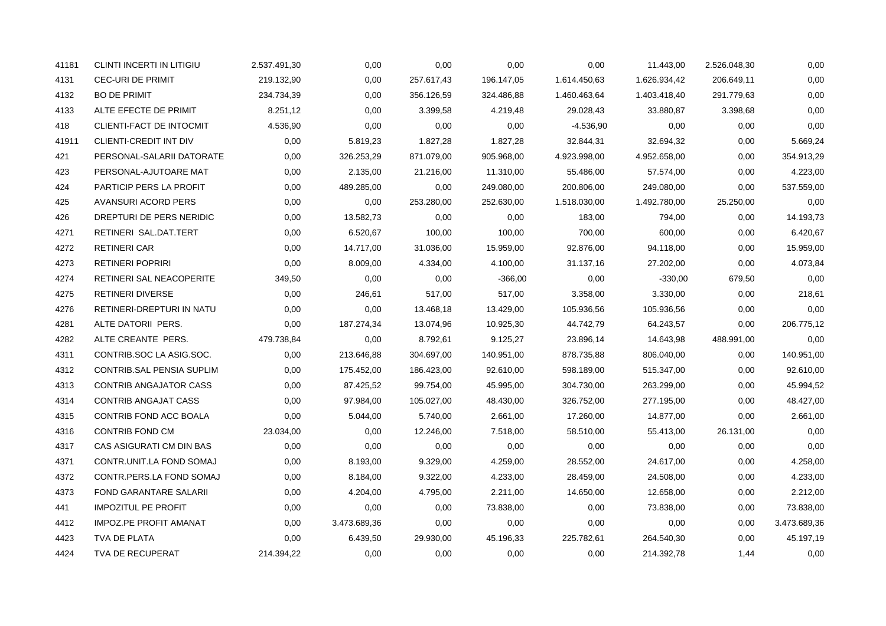| 41181 | CLINTI INCERTI IN LITIGIU     | 2.537.491,30 | 0,00         | 0,00       | 0,00       | 0,00         | 11.443,00    | 2.526.048,30 | 0,00         |
|-------|-------------------------------|--------------|--------------|------------|------------|--------------|--------------|--------------|--------------|
| 4131  | <b>CEC-URI DE PRIMIT</b>      | 219.132,90   | 0,00         | 257.617,43 | 196.147,05 | 1.614.450,63 | 1.626.934,42 | 206.649,11   | 0,00         |
| 4132  | <b>BO DE PRIMIT</b>           | 234.734,39   | 0,00         | 356.126,59 | 324.486,88 | 1.460.463,64 | 1.403.418,40 | 291.779,63   | 0,00         |
| 4133  | ALTE EFECTE DE PRIMIT         | 8.251,12     | 0,00         | 3.399,58   | 4.219,48   | 29.028,43    | 33.880,87    | 3.398,68     | 0,00         |
| 418   | CLIENTI-FACT DE INTOCMIT      | 4.536,90     | 0,00         | 0,00       | 0,00       | -4.536,90    | 0,00         | 0,00         | 0,00         |
| 41911 | CLIENTI-CREDIT INT DIV        | 0,00         | 5.819,23     | 1.827,28   | 1.827,28   | 32.844,31    | 32.694,32    | 0,00         | 5.669,24     |
| 421   | PERSONAL-SALARII DATORATE     | 0,00         | 326.253,29   | 871.079,00 | 905.968,00 | 4.923.998,00 | 4.952.658,00 | 0,00         | 354.913,29   |
| 423   | PERSONAL-AJUTOARE MAT         | 0,00         | 2.135,00     | 21.216,00  | 11.310,00  | 55.486,00    | 57.574,00    | 0,00         | 4.223,00     |
| 424   | PARTICIP PERS LA PROFIT       | 0,00         | 489.285,00   | 0,00       | 249.080,00 | 200.806,00   | 249.080,00   | 0,00         | 537.559,00   |
| 425   | AVANSURI ACORD PERS           | 0,00         | 0,00         | 253.280,00 | 252.630,00 | 1.518.030,00 | 1.492.780,00 | 25.250,00    | 0,00         |
| 426   | DREPTURI DE PERS NERIDIC      | 0,00         | 13.582,73    | 0,00       | 0,00       | 183,00       | 794,00       | 0,00         | 14.193,73    |
| 4271  | RETINERI SAL.DAT.TERT         | 0,00         | 6.520,67     | 100,00     | 100,00     | 700,00       | 600,00       | 0,00         | 6.420,67     |
| 4272  | <b>RETINERI CAR</b>           | 0,00         | 14.717,00    | 31.036,00  | 15.959,00  | 92.876,00    | 94.118,00    | 0,00         | 15.959,00    |
| 4273  | <b>RETINERI POPRIRI</b>       | 0.00         | 8.009,00     | 4.334,00   | 4.100,00   | 31.137,16    | 27.202,00    | 0,00         | 4.073,84     |
| 4274  | RETINERI SAL NEACOPERITE      | 349,50       | 0,00         | 0,00       | $-366,00$  | 0,00         | $-330,00$    | 679,50       | 0,00         |
| 4275  | <b>RETINERI DIVERSE</b>       | 0,00         | 246,61       | 517,00     | 517,00     | 3.358,00     | 3.330,00     | 0,00         | 218,61       |
| 4276  | RETINERI-DREPTURI IN NATU     | 0,00         | 0,00         | 13.468,18  | 13.429,00  | 105.936,56   | 105.936,56   | 0,00         | 0,00         |
| 4281  | ALTE DATORII PERS.            | 0.00         | 187.274,34   | 13.074,96  | 10.925,30  | 44.742,79    | 64.243,57    | 0,00         | 206.775,12   |
| 4282  | ALTE CREANTE PERS.            | 479.738,84   | 0,00         | 8.792,61   | 9.125,27   | 23.896,14    | 14.643,98    | 488.991,00   | 0,00         |
| 4311  | CONTRIB.SOC LA ASIG.SOC.      | 0,00         | 213.646,88   | 304.697,00 | 140.951,00 | 878.735,88   | 806.040,00   | 0,00         | 140.951,00   |
| 4312  | CONTRIB.SAL PENSIA SUPLIM     | 0,00         | 175.452,00   | 186.423,00 | 92.610,00  | 598.189,00   | 515.347,00   | 0.00         | 92.610,00    |
| 4313  | CONTRIB ANGAJATOR CASS        | 0,00         | 87.425,52    | 99.754,00  | 45.995,00  | 304.730,00   | 263.299,00   | 0,00         | 45.994,52    |
| 4314  | <b>CONTRIB ANGAJAT CASS</b>   | 0,00         | 97.984,00    | 105.027,00 | 48.430,00  | 326.752,00   | 277.195,00   | 0,00         | 48.427,00    |
| 4315  | CONTRIB FOND ACC BOALA        | 0,00         | 5.044,00     | 5.740,00   | 2.661,00   | 17.260,00    | 14.877,00    | 0,00         | 2.661,00     |
| 4316  | CONTRIB FOND CM               | 23.034,00    | 0,00         | 12.246,00  | 7.518,00   | 58.510,00    | 55.413,00    | 26.131,00    | 0,00         |
| 4317  | CAS ASIGURATI CM DIN BAS      | 0,00         | 0,00         | 0,00       | 0,00       | 0,00         | 0,00         | 0,00         | 0,00         |
| 4371  | CONTR.UNIT.LA FOND SOMAJ      | 0,00         | 8.193,00     | 9.329,00   | 4.259,00   | 28.552,00    | 24.617,00    | 0,00         | 4.258,00     |
| 4372  | CONTR.PERS.LA FOND SOMAJ      | 0,00         | 8.184,00     | 9.322,00   | 4.233,00   | 28.459,00    | 24.508,00    | 0,00         | 4.233,00     |
| 4373  | FOND GARANTARE SALARII        | 0,00         | 4.204,00     | 4.795,00   | 2.211,00   | 14.650,00    | 12.658,00    | 0,00         | 2.212,00     |
| 441   | <b>IMPOZITUL PE PROFIT</b>    | 0,00         | 0,00         | 0,00       | 73.838,00  | 0,00         | 73.838,00    | 0,00         | 73.838,00    |
| 4412  | <b>IMPOZ.PE PROFIT AMANAT</b> | 0,00         | 3.473.689,36 | 0,00       | 0,00       | 0,00         | 0,00         | 0.00         | 3.473.689,36 |
| 4423  | TVA DE PLATA                  | 0,00         | 6.439,50     | 29.930,00  | 45.196,33  | 225.782,61   | 264.540,30   | 0,00         | 45.197,19    |
| 4424  | TVA DE RECUPERAT              | 214.394,22   | 0,00         | 0,00       | 0,00       | 0,00         | 214.392,78   | 1,44         | 0,00         |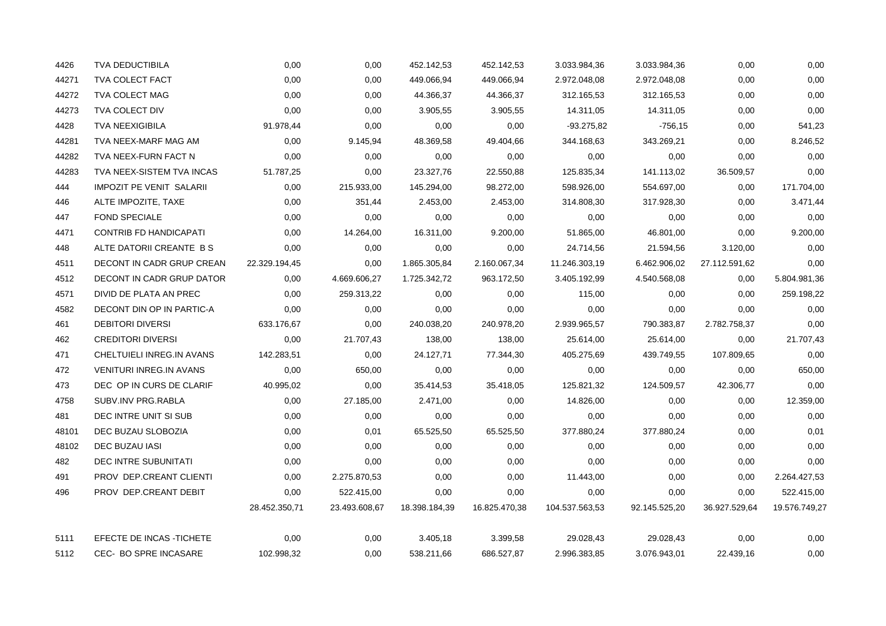| 4426  | <b>TVA DEDUCTIBILA</b>          | 0,00          | 0,00          | 452.142,53    | 452.142,53    | 3.033.984,36   | 3.033.984,36  | 0,00          | 0,00          |
|-------|---------------------------------|---------------|---------------|---------------|---------------|----------------|---------------|---------------|---------------|
| 44271 | TVA COLECT FACT                 | 0,00          | 0,00          | 449.066,94    | 449.066,94    | 2.972.048,08   | 2.972.048,08  | 0,00          | 0,00          |
| 44272 | TVA COLECT MAG                  | 0,00          | 0,00          | 44.366,37     | 44.366,37     | 312.165,53     | 312.165,53    | 0,00          | 0,00          |
| 44273 | TVA COLECT DIV                  | 0,00          | 0,00          | 3.905,55      | 3.905,55      | 14.311,05      | 14.311,05     | 0,00          | 0,00          |
| 4428  | <b>TVA NEEXIGIBILA</b>          | 91.978,44     | 0,00          | 0,00          | 0,00          | -93.275,82     | -756,15       | 0,00          | 541,23        |
| 44281 | TVA NEEX-MARF MAG AM            | 0,00          | 9.145,94      | 48.369,58     | 49.404,66     | 344.168,63     | 343.269,21    | 0,00          | 8.246,52      |
| 44282 | TVA NEEX-FURN FACT N            | 0,00          | 0,00          | 0,00          | 0,00          | 0,00           | 0,00          | 0,00          | 0,00          |
| 44283 | TVA NEEX-SISTEM TVA INCAS       | 51.787,25     | 0,00          | 23.327,76     | 22.550,88     | 125.835,34     | 141.113,02    | 36.509,57     | 0,00          |
| 444   | <b>IMPOZIT PE VENIT SALARII</b> | 0,00          | 215.933,00    | 145.294,00    | 98.272,00     | 598.926,00     | 554.697,00    | 0,00          | 171.704,00    |
| 446   | ALTE IMPOZITE, TAXE             | 0,00          | 351,44        | 2.453,00      | 2.453,00      | 314.808,30     | 317.928,30    | 0,00          | 3.471,44      |
| 447   | <b>FOND SPECIALE</b>            | 0,00          | 0,00          | 0,00          | 0,00          | 0,00           | 0,00          | 0,00          | 0,00          |
| 4471  | <b>CONTRIB FD HANDICAPATI</b>   | 0,00          | 14.264,00     | 16.311,00     | 9.200,00      | 51.865,00      | 46.801,00     | 0,00          | 9.200,00      |
| 448   | ALTE DATORII CREANTE B S        | 0,00          | 0,00          | 0,00          | 0,00          | 24.714,56      | 21.594,56     | 3.120,00      | 0,00          |
| 4511  | DECONT IN CADR GRUP CREAN       | 22.329.194,45 | 0,00          | 1.865.305,84  | 2.160.067,34  | 11.246.303,19  | 6.462.906,02  | 27.112.591,62 | 0,00          |
| 4512  | DECONT IN CADR GRUP DATOR       | 0,00          | 4.669.606,27  | 1.725.342,72  | 963.172,50    | 3.405.192,99   | 4.540.568,08  | 0,00          | 5.804.981,36  |
| 4571  | DIVID DE PLATA AN PREC          | 0,00          | 259.313,22    | 0,00          | 0,00          | 115,00         | 0,00          | 0,00          | 259.198,22    |
| 4582  | DECONT DIN OP IN PARTIC-A       | 0.00          | 0,00          | 0,00          | 0,00          | 0,00           | 0,00          | 0.00          | 0,00          |
| 461   | <b>DEBITORI DIVERSI</b>         | 633.176,67    | 0,00          | 240.038,20    | 240.978,20    | 2.939.965,57   | 790.383,87    | 2.782.758,37  | 0,00          |
| 462   | <b>CREDITORI DIVERSI</b>        | 0,00          | 21.707,43     | 138,00        | 138,00        | 25.614,00      | 25.614,00     | 0,00          | 21.707,43     |
| 471   | CHELTUIELI INREG.IN AVANS       | 142.283,51    | 0,00          | 24.127,71     | 77.344,30     | 405.275,69     | 439.749,55    | 107.809,65    | 0,00          |
| 472   | <b>VENITURI INREG.IN AVANS</b>  | 0,00          | 650,00        | 0,00          | 0,00          | 0,00           | 0,00          | 0,00          | 650,00        |
| 473   | DEC OP IN CURS DE CLARIF        | 40.995,02     | 0,00          | 35.414,53     | 35.418,05     | 125.821,32     | 124.509,57    | 42.306,77     | 0,00          |
| 4758  | SUBV.INV PRG.RABLA              | 0,00          | 27.185,00     | 2.471,00      | 0,00          | 14.826,00      | 0,00          | 0,00          | 12.359,00     |
| 481   | DEC INTRE UNIT SI SUB           | 0,00          | 0,00          | 0,00          | 0,00          | 0,00           | 0,00          | 0,00          | 0,00          |
| 48101 | DEC BUZAU SLOBOZIA              | 0,00          | 0,01          | 65.525,50     | 65.525,50     | 377.880,24     | 377.880,24    | 0,00          | 0,01          |
| 48102 | DEC BUZAU IASI                  | 0,00          | 0,00          | 0,00          | 0,00          | 0,00           | 0,00          | 0,00          | 0,00          |
| 482   | DEC INTRE SUBUNITATI            | 0,00          | 0,00          | 0,00          | 0,00          | 0,00           | 0,00          | 0,00          | 0,00          |
| 491   | PROV DEP.CREANT CLIENTI         | 0,00          | 2.275.870,53  | 0,00          | 0,00          | 11.443,00      | 0,00          | 0,00          | 2.264.427,53  |
| 496   | PROV DEP.CREANT DEBIT           | 0,00          | 522.415,00    | 0,00          | 0,00          | 0,00           | 0,00          | 0,00          | 522.415,00    |
|       |                                 | 28.452.350,71 | 23.493.608,67 | 18.398.184,39 | 16.825.470,38 | 104.537.563,53 | 92.145.525,20 | 36.927.529,64 | 19.576.749,27 |
| 5111  | EFECTE DE INCAS - TICHETE       | 0,00          | 0,00          | 3.405,18      | 3.399,58      | 29.028,43      | 29.028,43     | 0,00          | 0,00          |
| 5112  | <b>CEC- BO SPRE INCASARE</b>    | 102.998,32    | 0,00          | 538.211,66    | 686.527,87    | 2.996.383,85   | 3.076.943,01  | 22.439,16     | 0,00          |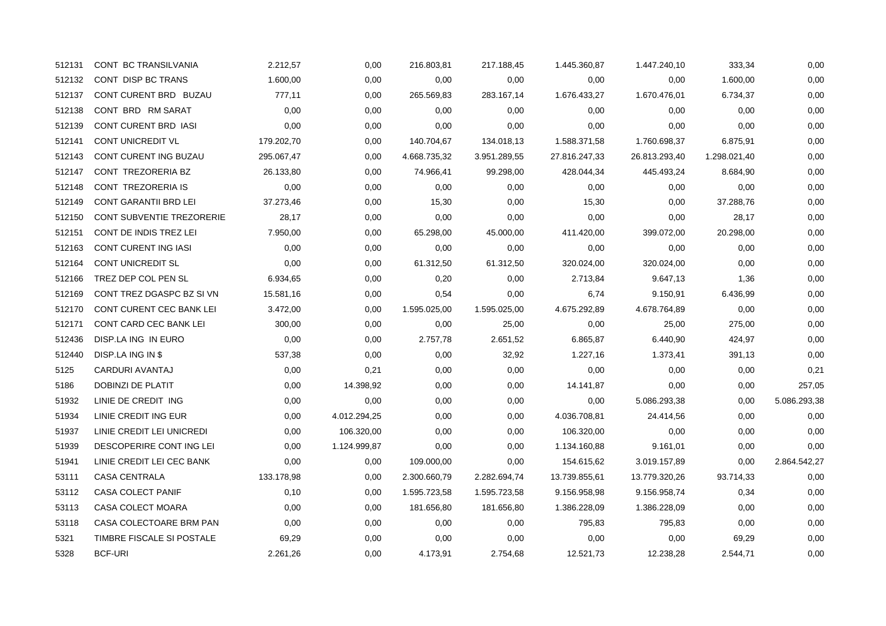| 512131 | CONT BC TRANSILVANIA         | 2.212,57   | 0,00         | 216.803,81   | 217.188,45   | 1.445.360,87  | 1.447.240,10  | 333,34       | 0,00         |
|--------|------------------------------|------------|--------------|--------------|--------------|---------------|---------------|--------------|--------------|
| 512132 | CONT DISP BC TRANS           | 1.600,00   | 0,00         | 0,00         | 0,00         | 0,00          | 0,00          | 1.600,00     | 0,00         |
| 512137 | CONT CURENT BRD BUZAU        | 777,11     | 0,00         | 265.569,83   | 283.167,14   | 1.676.433,27  | 1.670.476,01  | 6.734,37     | 0,00         |
| 512138 | CONT BRD RM SARAT            | 0,00       | 0,00         | 0,00         | 0,00         | 0,00          | 0,00          | 0,00         | 0,00         |
| 512139 | CONT CURENT BRD IASI         | 0,00       | 0,00         | 0,00         | 0,00         | 0,00          | 0,00          | 0,00         | 0,00         |
| 512141 | CONT UNICREDIT VL            | 179.202,70 | 0,00         | 140.704,67   | 134.018,13   | 1.588.371,58  | 1.760.698,37  | 6.875,91     | 0,00         |
| 512143 | CONT CURENT ING BUZAU        | 295.067,47 | 0,00         | 4.668.735,32 | 3.951.289,55 | 27.816.247,33 | 26.813.293,40 | 1.298.021,40 | 0,00         |
| 512147 | CONT TREZORERIA BZ           | 26.133,80  | 0,00         | 74.966,41    | 99.298,00    | 428.044,34    | 445.493,24    | 8.684,90     | 0,00         |
| 512148 | CONT TREZORERIA IS           | 0,00       | 0,00         | 0,00         | 0,00         | 0,00          | 0,00          | 0,00         | 0,00         |
| 512149 | <b>CONT GARANTII BRD LEI</b> | 37.273,46  | 0,00         | 15,30        | 0,00         | 15,30         | 0,00          | 37.288,76    | 0,00         |
| 512150 | CONT SUBVENTIE TREZORERIE    | 28,17      | 0,00         | 0,00         | 0,00         | 0,00          | 0,00          | 28,17        | 0,00         |
| 512151 | CONT DE INDIS TREZ LEI       | 7.950,00   | 0,00         | 65.298,00    | 45.000,00    | 411.420,00    | 399.072,00    | 20.298,00    | 0,00         |
| 512163 | CONT CURENT ING IASI         | 0,00       | 0,00         | 0,00         | 0,00         | 0,00          | 0,00          | 0,00         | 0,00         |
| 512164 | CONT UNICREDIT SL            | 0,00       | 0,00         | 61.312,50    | 61.312,50    | 320.024,00    | 320.024,00    | 0,00         | 0,00         |
| 512166 | TREZ DEP COL PEN SL          | 6.934,65   | 0,00         | 0,20         | 0,00         | 2.713,84      | 9.647,13      | 1,36         | 0,00         |
| 512169 | CONT TREZ DGASPC BZ SI VN    | 15.581,16  | 0,00         | 0,54         | 0,00         | 6,74          | 9.150,91      | 6.436,99     | 0,00         |
| 512170 | CONT CURENT CEC BANK LEI     | 3.472,00   | 0,00         | 1.595.025,00 | 1.595.025,00 | 4.675.292,89  | 4.678.764,89  | 0,00         | 0,00         |
| 512171 | CONT CARD CEC BANK LEI       | 300,00     | 0,00         | 0,00         | 25,00        | 0,00          | 25,00         | 275,00       | 0,00         |
| 512436 | DISP.LA ING IN EURO          | 0,00       | 0,00         | 2.757,78     | 2.651,52     | 6.865,87      | 6.440,90      | 424,97       | 0,00         |
| 512440 | DISP.LA ING IN \$            | 537,38     | 0,00         | 0,00         | 32,92        | 1.227,16      | 1.373,41      | 391,13       | 0,00         |
| 5125   | CARDURI AVANTAJ              | 0,00       | 0,21         | 0,00         | 0,00         | 0,00          | 0,00          | 0,00         | 0,21         |
| 5186   | DOBINZI DE PLATIT            | 0,00       | 14.398,92    | 0,00         | 0,00         | 14.141,87     | 0,00          | 0,00         | 257,05       |
| 51932  | LINIE DE CREDIT ING          | 0,00       | 0,00         | 0,00         | 0,00         | 0,00          | 5.086.293,38  | 0,00         | 5.086.293,38 |
| 51934  | LINIE CREDIT ING EUR         | 0,00       | 4.012.294,25 | 0,00         | 0,00         | 4.036.708,81  | 24.414,56     | 0,00         | 0,00         |
| 51937  | LINIE CREDIT LEI UNICREDI    | 0,00       | 106.320,00   | 0,00         | 0,00         | 106.320,00    | 0,00          | 0,00         | 0,00         |
| 51939  | DESCOPERIRE CONT ING LEI     | 0,00       | 1.124.999,87 | 0,00         | 0,00         | 1.134.160,88  | 9.161,01      | 0,00         | 0,00         |
| 51941  | LINIE CREDIT LEI CEC BANK    | 0,00       | 0,00         | 109.000,00   | 0,00         | 154.615,62    | 3.019.157,89  | 0,00         | 2.864.542,27 |
| 53111  | <b>CASA CENTRALA</b>         | 133.178,98 | 0,00         | 2.300.660,79 | 2.282.694,74 | 13.739.855,61 | 13.779.320,26 | 93.714,33    | 0,00         |
| 53112  | CASA COLECT PANIF            | 0,10       | 0,00         | 1.595.723,58 | 1.595.723,58 | 9.156.958,98  | 9.156.958,74  | 0,34         | 0,00         |
| 53113  | CASA COLECT MOARA            | 0,00       | 0,00         | 181.656,80   | 181.656,80   | 1.386.228,09  | 1.386.228,09  | 0,00         | 0,00         |
| 53118  | CASA COLECTOARE BRM PAN      | 0.00       | 0,00         | 0,00         | 0,00         | 795,83        | 795,83        | 0.00         | 0,00         |
| 5321   | TIMBRE FISCALE SI POSTALE    | 69,29      | 0,00         | 0,00         | 0,00         | 0,00          | 0,00          | 69,29        | 0,00         |
| 5328   | <b>BCF-URI</b>               | 2.261,26   | 0,00         | 4.173,91     | 2.754,68     | 12.521,73     | 12.238,28     | 2.544,71     | 0,00         |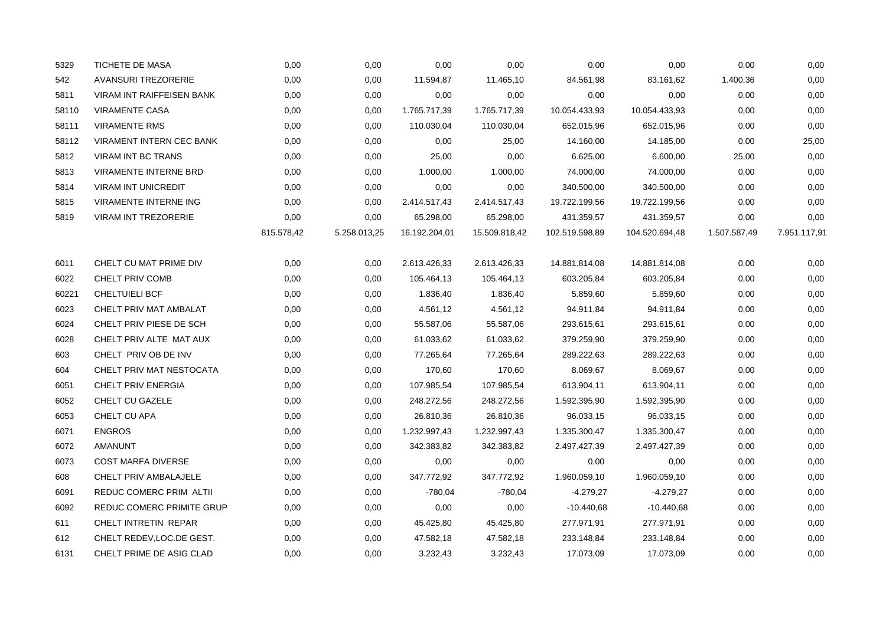| 5329  | TICHETE DE MASA              | 0,00       | 0,00         | 0,00          | 0,00          | 0,00           | 0,00           | 0,00         | 0,00         |
|-------|------------------------------|------------|--------------|---------------|---------------|----------------|----------------|--------------|--------------|
| 542   | <b>AVANSURI TREZORERIE</b>   | 0,00       | 0,00         | 11.594,87     | 11.465,10     | 84.561,98      | 83.161,62      | 1.400,36     | 0,00         |
| 5811  | VIRAM INT RAIFFEISEN BANK    | 0,00       | 0,00         | 0,00          | 0,00          | 0,00           | 0,00           | 0,00         | 0,00         |
| 58110 | <b>VIRAMENTE CASA</b>        | 0,00       | 0,00         | 1.765.717,39  | 1.765.717,39  | 10.054.433,93  | 10.054.433,93  | 0,00         | 0,00         |
| 58111 | <b>VIRAMENTE RMS</b>         | 0,00       | 0,00         | 110.030,04    | 110.030,04    | 652.015,96     | 652.015,96     | 0,00         | 0,00         |
| 58112 | VIRAMENT INTERN CEC BANK     | 0,00       | 0,00         | 0,00          | 25,00         | 14.160,00      | 14.185,00      | 0,00         | 25,00        |
| 5812  | <b>VIRAM INT BC TRANS</b>    | 0,00       | 0,00         | 25,00         | 0,00          | 6.625,00       | 6.600,00       | 25,00        | 0,00         |
| 5813  | <b>VIRAMENTE INTERNE BRD</b> | 0,00       | 0,00         | 1.000,00      | 1.000,00      | 74.000,00      | 74.000,00      | 0,00         | 0,00         |
| 5814  | <b>VIRAM INT UNICREDIT</b>   | 0,00       | 0,00         | 0,00          | 0,00          | 340.500,00     | 340.500,00     | 0,00         | 0,00         |
| 5815  | <b>VIRAMENTE INTERNE ING</b> | 0,00       | 0,00         | 2.414.517,43  | 2.414.517,43  | 19.722.199,56  | 19.722.199,56  | 0,00         | 0,00         |
| 5819  | <b>VIRAM INT TREZORERIE</b>  | 0,00       | 0,00         | 65.298,00     | 65.298,00     | 431.359,57     | 431.359,57     | 0,00         | 0,00         |
|       |                              | 815.578,42 | 5.258.013,25 | 16.192.204,01 | 15.509.818,42 | 102.519.598,89 | 104.520.694,48 | 1.507.587,49 | 7.951.117,91 |
| 6011  | CHELT CU MAT PRIME DIV       | 0,00       | 0,00         | 2.613.426,33  | 2.613.426,33  | 14.881.814,08  | 14.881.814,08  | 0,00         | 0,00         |
| 6022  | CHELT PRIV COMB              | 0,00       | 0,00         | 105.464,13    | 105.464,13    | 603.205,84     | 603.205,84     | 0,00         | 0,00         |
| 60221 | <b>CHELTUIELI BCF</b>        | 0,00       | 0,00         | 1.836,40      | 1.836,40      | 5.859,60       | 5.859,60       | 0,00         | 0,00         |
| 6023  | CHELT PRIV MAT AMBALAT       | 0,00       | 0,00         | 4.561,12      | 4.561,12      | 94.911,84      | 94.911,84      | 0,00         | 0,00         |
| 6024  | CHELT PRIV PIESE DE SCH      | 0,00       | 0,00         | 55.587,06     | 55.587,06     | 293.615,61     | 293.615,61     | 0,00         | 0,00         |
| 6028  | CHELT PRIV ALTE MAT AUX      | 0,00       | 0,00         | 61.033,62     | 61.033,62     | 379.259,90     | 379.259,90     | 0,00         | 0,00         |
| 603   | CHELT PRIV OB DE INV         | 0,00       | 0,00         | 77.265,64     | 77.265,64     | 289.222,63     | 289.222,63     | 0,00         | 0,00         |
| 604   | CHELT PRIV MAT NESTOCATA     | 0,00       | 0,00         | 170,60        | 170,60        | 8.069,67       | 8.069,67       | 0,00         | 0,00         |
| 6051  | CHELT PRIV ENERGIA           | 0,00       | 0,00         | 107.985,54    | 107.985,54    | 613.904,11     | 613.904,11     | 0,00         | 0,00         |
| 6052  | CHELT CU GAZELE              | 0,00       | 0,00         | 248.272,56    | 248.272,56    | 1.592.395,90   | 1.592.395,90   | 0,00         | 0,00         |
| 6053  | CHELT CU APA                 | 0,00       | 0,00         | 26.810,36     | 26.810,36     | 96.033,15      | 96.033,15      | 0,00         | 0,00         |
| 6071  | <b>ENGROS</b>                | 0,00       | 0,00         | 1.232.997,43  | 1.232.997,43  | 1.335.300,47   | 1.335.300,47   | 0,00         | 0,00         |
| 6072  | AMANUNT                      | 0,00       | 0,00         | 342.383,82    | 342.383,82    | 2.497.427,39   | 2.497.427,39   | 0,00         | 0,00         |
| 6073  | <b>COST MARFA DIVERSE</b>    | 0,00       | 0,00         | 0,00          | 0,00          | 0,00           | 0,00           | 0,00         | 0,00         |
| 608   | CHELT PRIV AMBALAJELE        | 0,00       | 0,00         | 347.772,92    | 347.772,92    | 1.960.059,10   | 1.960.059,10   | 0,00         | 0,00         |
| 6091  | REDUC COMERC PRIM ALTII      | 0,00       | 0,00         | $-780,04$     | -780,04       | $-4.279,27$    | $-4.279,27$    | 0,00         | 0,00         |
| 6092  | REDUC COMERC PRIMITE GRUP    | 0,00       | 0,00         | 0,00          | 0,00          | $-10.440,68$   | $-10.440,68$   | 0,00         | 0,00         |
| 611   | CHELT INTRETIN REPAR         | 0,00       | 0,00         | 45.425,80     | 45.425,80     | 277.971,91     | 277.971,91     | 0,00         | 0,00         |
| 612   | CHELT REDEV, LOC. DE GEST.   | 0,00       | 0,00         | 47.582,18     | 47.582,18     | 233.148,84     | 233.148,84     | 0,00         | 0,00         |
| 6131  | CHELT PRIME DE ASIG CLAD     | 0,00       | 0,00         | 3.232,43      | 3.232,43      | 17.073,09      | 17.073,09      | 0,00         | 0,00         |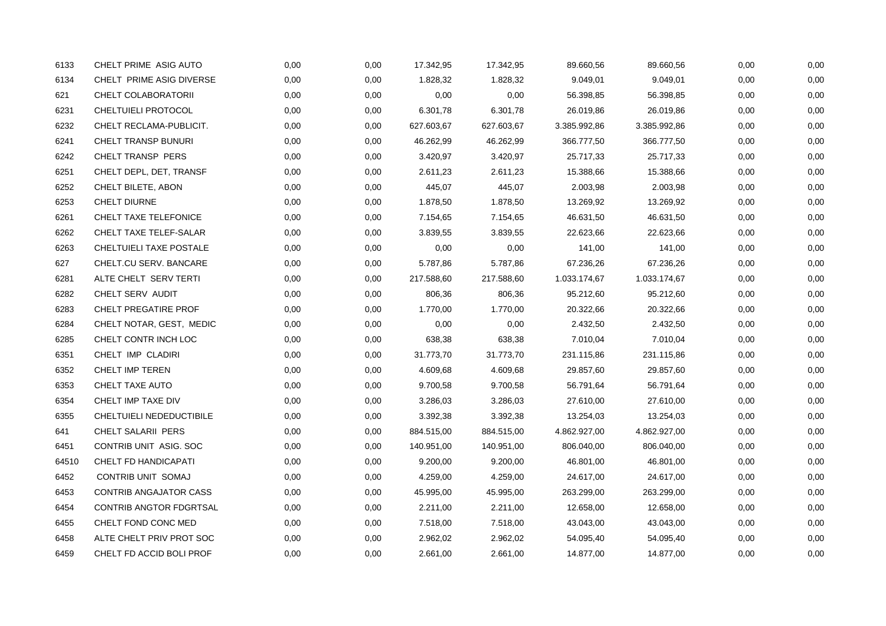| 6133  | CHELT PRIME ASIG AUTO         | 0,00 | 0,00 | 17.342,95  | 17.342,95  | 89.660,56    | 89.660,56    | 0,00 | 0,00 |
|-------|-------------------------------|------|------|------------|------------|--------------|--------------|------|------|
| 6134  | CHELT PRIME ASIG DIVERSE      | 0,00 | 0,00 | 1.828,32   | 1.828,32   | 9.049,01     | 9.049,01     | 0,00 | 0,00 |
| 621   | CHELT COLABORATORII           | 0,00 | 0,00 | 0,00       | 0,00       | 56.398,85    | 56.398,85    | 0,00 | 0,00 |
| 6231  | CHELTUIELI PROTOCOL           | 0,00 | 0,00 | 6.301,78   | 6.301,78   | 26.019,86    | 26.019,86    | 0,00 | 0,00 |
| 6232  | CHELT RECLAMA-PUBLICIT.       | 0,00 | 0,00 | 627.603,67 | 627.603,67 | 3.385.992,86 | 3.385.992,86 | 0,00 | 0,00 |
| 6241  | CHELT TRANSP BUNURI           | 0,00 | 0,00 | 46.262,99  | 46.262,99  | 366.777,50   | 366.777,50   | 0,00 | 0,00 |
| 6242  | CHELT TRANSP PERS             | 0,00 | 0,00 | 3.420,97   | 3.420,97   | 25.717,33    | 25.717,33    | 0,00 | 0,00 |
| 6251  | CHELT DEPL, DET, TRANSF       | 0,00 | 0,00 | 2.611,23   | 2.611,23   | 15.388,66    | 15.388,66    | 0,00 | 0,00 |
| 6252  | CHELT BILETE, ABON            | 0,00 | 0,00 | 445,07     | 445,07     | 2.003,98     | 2.003,98     | 0,00 | 0,00 |
| 6253  | CHELT DIURNE                  | 0,00 | 0,00 | 1.878,50   | 1.878,50   | 13.269,92    | 13.269,92    | 0,00 | 0,00 |
| 6261  | CHELT TAXE TELEFONICE         | 0,00 | 0,00 | 7.154,65   | 7.154,65   | 46.631,50    | 46.631,50    | 0,00 | 0,00 |
| 6262  | CHELT TAXE TELEF-SALAR        | 0,00 | 0,00 | 3.839,55   | 3.839,55   | 22.623,66    | 22.623,66    | 0,00 | 0,00 |
| 6263  | CHELTUIELI TAXE POSTALE       | 0,00 | 0,00 | 0,00       | 0,00       | 141,00       | 141,00       | 0,00 | 0,00 |
| 627   | CHELT.CU SERV. BANCARE        | 0,00 | 0,00 | 5.787,86   | 5.787,86   | 67.236,26    | 67.236,26    | 0,00 | 0,00 |
| 6281  | ALTE CHELT SERV TERTI         | 0,00 | 0,00 | 217.588,60 | 217.588,60 | 1.033.174,67 | 1.033.174,67 | 0,00 | 0,00 |
| 6282  | CHELT SERV AUDIT              | 0,00 | 0,00 | 806,36     | 806,36     | 95.212,60    | 95.212,60    | 0,00 | 0,00 |
| 6283  | CHELT PREGATIRE PROF          | 0,00 | 0,00 | 1.770,00   | 1.770,00   | 20.322,66    | 20.322,66    | 0,00 | 0,00 |
| 6284  | CHELT NOTAR, GEST, MEDIC      | 0,00 | 0,00 | 0,00       | 0,00       | 2.432,50     | 2.432,50     | 0,00 | 0,00 |
| 6285  | CHELT CONTR INCH LOC          | 0,00 | 0,00 | 638,38     | 638,38     | 7.010,04     | 7.010,04     | 0,00 | 0,00 |
| 6351  | CHELT IMP CLADIRI             | 0,00 | 0,00 | 31.773,70  | 31.773,70  | 231.115,86   | 231.115,86   | 0,00 | 0,00 |
| 6352  | CHELT IMP TEREN               | 0,00 | 0,00 | 4.609,68   | 4.609,68   | 29.857,60    | 29.857,60    | 0,00 | 0,00 |
| 6353  | CHELT TAXE AUTO               | 0,00 | 0,00 | 9.700,58   | 9.700,58   | 56.791,64    | 56.791,64    | 0,00 | 0,00 |
| 6354  | CHELT IMP TAXE DIV            | 0,00 | 0,00 | 3.286,03   | 3.286,03   | 27.610,00    | 27.610,00    | 0,00 | 0,00 |
| 6355  | CHELTUIELI NEDEDUCTIBILE      | 0,00 | 0,00 | 3.392,38   | 3.392,38   | 13.254,03    | 13.254,03    | 0,00 | 0,00 |
| 641   | CHELT SALARII PERS            | 0,00 | 0,00 | 884.515,00 | 884.515,00 | 4.862.927,00 | 4.862.927,00 | 0,00 | 0,00 |
| 6451  | CONTRIB UNIT ASIG. SOC        | 0,00 | 0,00 | 140.951,00 | 140.951,00 | 806.040,00   | 806.040,00   | 0,00 | 0,00 |
| 64510 | CHELT FD HANDICAPATI          | 0,00 | 0,00 | 9.200,00   | 9.200,00   | 46.801,00    | 46.801,00    | 0,00 | 0,00 |
| 6452  | CONTRIB UNIT SOMAJ            | 0,00 | 0,00 | 4.259,00   | 4.259,00   | 24.617,00    | 24.617,00    | 0,00 | 0,00 |
| 6453  | <b>CONTRIB ANGAJATOR CASS</b> | 0,00 | 0,00 | 45.995,00  | 45.995,00  | 263.299,00   | 263.299,00   | 0,00 | 0,00 |
| 6454  | CONTRIB ANGTOR FDGRTSAL       | 0,00 | 0,00 | 2.211,00   | 2.211,00   | 12.658,00    | 12.658,00    | 0,00 | 0,00 |
| 6455  | CHELT FOND CONC MED           | 0,00 | 0,00 | 7.518,00   | 7.518,00   | 43.043,00    | 43.043,00    | 0,00 | 0,00 |
| 6458  | ALTE CHELT PRIV PROT SOC      | 0,00 | 0,00 | 2.962,02   | 2.962,02   | 54.095,40    | 54.095,40    | 0,00 | 0,00 |
| 6459  | CHELT FD ACCID BOLI PROF      | 0,00 | 0,00 | 2.661,00   | 2.661,00   | 14.877,00    | 14.877,00    | 0,00 | 0,00 |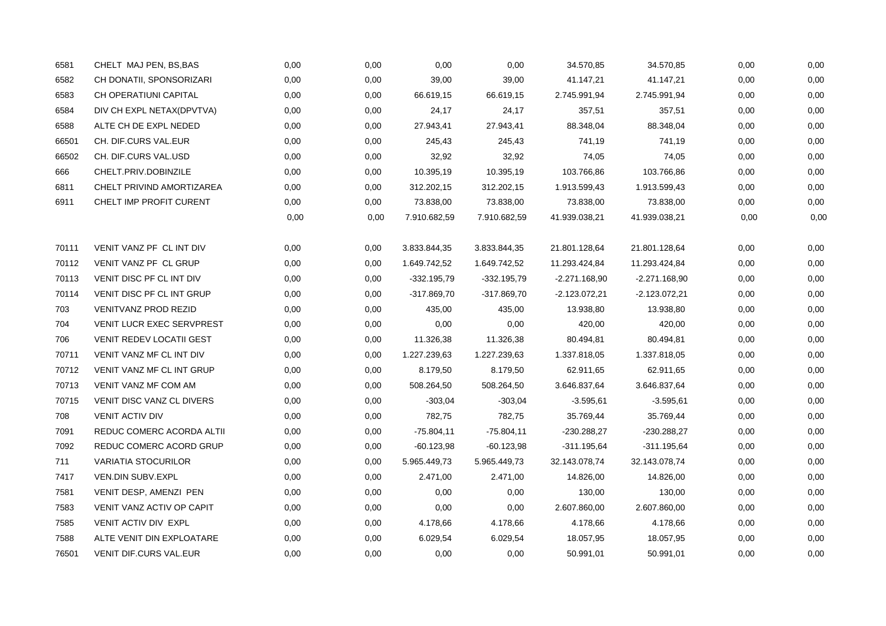| 6581  | CHELT MAJ PEN, BS, BAS          | 0,00 | 0,00 | 0,00          | 0,00          | 34.570,85       | 34.570,85       | 0,00 | 0,00 |
|-------|---------------------------------|------|------|---------------|---------------|-----------------|-----------------|------|------|
| 6582  | CH DONATII, SPONSORIZARI        | 0,00 | 0,00 | 39,00         | 39,00         | 41.147,21       | 41.147,21       | 0,00 | 0,00 |
| 6583  | CH OPERATIUNI CAPITAL           | 0,00 | 0,00 | 66.619,15     | 66.619,15     | 2.745.991,94    | 2.745.991,94    | 0,00 | 0,00 |
| 6584  | DIV CH EXPL NETAX(DPVTVA)       | 0,00 | 0,00 | 24,17         | 24,17         | 357,51          | 357,51          | 0,00 | 0,00 |
| 6588  | ALTE CH DE EXPL NEDED           | 0,00 | 0,00 | 27.943,41     | 27.943,41     | 88.348,04       | 88.348,04       | 0,00 | 0,00 |
| 66501 | CH. DIF.CURS VAL.EUR            | 0,00 | 0,00 | 245,43        | 245,43        | 741,19          | 741,19          | 0,00 | 0,00 |
| 66502 | CH. DIF.CURS VAL.USD            | 0,00 | 0,00 | 32,92         | 32,92         | 74,05           | 74,05           | 0,00 | 0,00 |
| 666   | CHELT.PRIV.DOBINZILE            | 0,00 | 0,00 | 10.395,19     | 10.395,19     | 103.766,86      | 103.766,86      | 0,00 | 0,00 |
| 6811  | CHELT PRIVIND AMORTIZAREA       | 0,00 | 0,00 | 312.202,15    | 312.202,15    | 1.913.599,43    | 1.913.599,43    | 0,00 | 0,00 |
| 6911  | CHELT IMP PROFIT CURENT         | 0,00 | 0,00 | 73.838,00     | 73.838,00     | 73.838,00       | 73.838,00       | 0,00 | 0,00 |
|       |                                 | 0,00 | 0,00 | 7.910.682,59  | 7.910.682,59  | 41.939.038,21   | 41.939.038,21   | 0,00 | 0,00 |
| 70111 | VENIT VANZ PF CL INT DIV        | 0,00 | 0,00 | 3.833.844,35  | 3.833.844,35  | 21.801.128,64   | 21.801.128,64   | 0,00 | 0,00 |
| 70112 | VENIT VANZ PF CL GRUP           | 0,00 | 0,00 | 1.649.742,52  | 1.649.742,52  | 11.293.424,84   | 11.293.424,84   | 0,00 | 0,00 |
| 70113 | VENIT DISC PF CL INT DIV        | 0,00 | 0,00 | $-332.195.79$ | $-332.195,79$ | -2.271.168,90   | $-2.271.168,90$ | 0,00 | 0,00 |
| 70114 | VENIT DISC PF CL INT GRUP       | 0,00 | 0,00 | $-317.869,70$ | $-317.869,70$ | $-2.123.072.21$ | $-2.123.072.21$ | 0,00 | 0,00 |
| 703   | <b>VENITVANZ PROD REZID</b>     | 0,00 | 0,00 | 435,00        | 435,00        | 13.938,80       | 13.938,80       | 0,00 | 0,00 |
| 704   | VENIT LUCR EXEC SERVPREST       | 0,00 | 0,00 | 0,00          | 0,00          | 420,00          | 420,00          | 0,00 | 0,00 |
| 706   | <b>VENIT REDEV LOCATII GEST</b> | 0,00 | 0,00 | 11.326,38     | 11.326,38     | 80.494,81       | 80.494,81       | 0,00 | 0,00 |
| 70711 | VENIT VANZ MF CL INT DIV        | 0,00 | 0,00 | 1.227.239,63  | 1.227.239,63  | 1.337.818,05    | 1.337.818,05    | 0,00 | 0,00 |
| 70712 | VENIT VANZ MF CL INT GRUP       | 0,00 | 0,00 | 8.179,50      | 8.179,50      | 62.911,65       | 62.911,65       | 0,00 | 0,00 |
| 70713 | VENIT VANZ MF COM AM            | 0,00 | 0,00 | 508.264,50    | 508.264,50    | 3.646.837,64    | 3.646.837,64    | 0,00 | 0,00 |
| 70715 | VENIT DISC VANZ CL DIVERS       | 0,00 | 0,00 | $-303,04$     | $-303,04$     | $-3.595,61$     | $-3.595,61$     | 0,00 | 0,00 |
| 708   | <b>VENIT ACTIV DIV</b>          | 0,00 | 0,00 | 782,75        | 782,75        | 35.769,44       | 35.769,44       | 0,00 | 0,00 |
| 7091  | REDUC COMERC ACORDA ALTII       | 0,00 | 0,00 | $-75.804.11$  | $-75.804,11$  | -230.288,27     | -230.288,27     | 0,00 | 0,00 |
| 7092  | REDUC COMERC ACORD GRUP         | 0,00 | 0,00 | $-60.123,98$  | $-60.123,98$  | -311.195,64     | -311.195,64     | 0,00 | 0,00 |
| 711   | <b>VARIATIA STOCURILOR</b>      | 0,00 | 0,00 | 5.965.449,73  | 5.965.449,73  | 32.143.078,74   | 32.143.078,74   | 0,00 | 0,00 |
| 7417  | VEN.DIN SUBV.EXPL               | 0,00 | 0,00 | 2.471,00      | 2.471,00      | 14.826,00       | 14.826,00       | 0,00 | 0,00 |
| 7581  | VENIT DESP, AMENZI PEN          | 0,00 | 0,00 | 0,00          | 0,00          | 130,00          | 130,00          | 0,00 | 0,00 |
| 7583  | VENIT VANZ ACTIV OP CAPIT       | 0,00 | 0,00 | 0,00          | 0,00          | 2.607.860,00    | 2.607.860,00    | 0,00 | 0,00 |
| 7585  | VENIT ACTIV DIV EXPL            | 0,00 | 0,00 | 4.178,66      | 4.178,66      | 4.178,66        | 4.178,66        | 0,00 | 0,00 |
| 7588  | ALTE VENIT DIN EXPLOATARE       | 0,00 | 0,00 | 6.029,54      | 6.029,54      | 18.057,95       | 18.057,95       | 0,00 | 0,00 |
| 76501 | VENIT DIF.CURS VAL.EUR          | 0,00 | 0,00 | 0,00          | 0,00          | 50.991,01       | 50.991,01       | 0,00 | 0,00 |